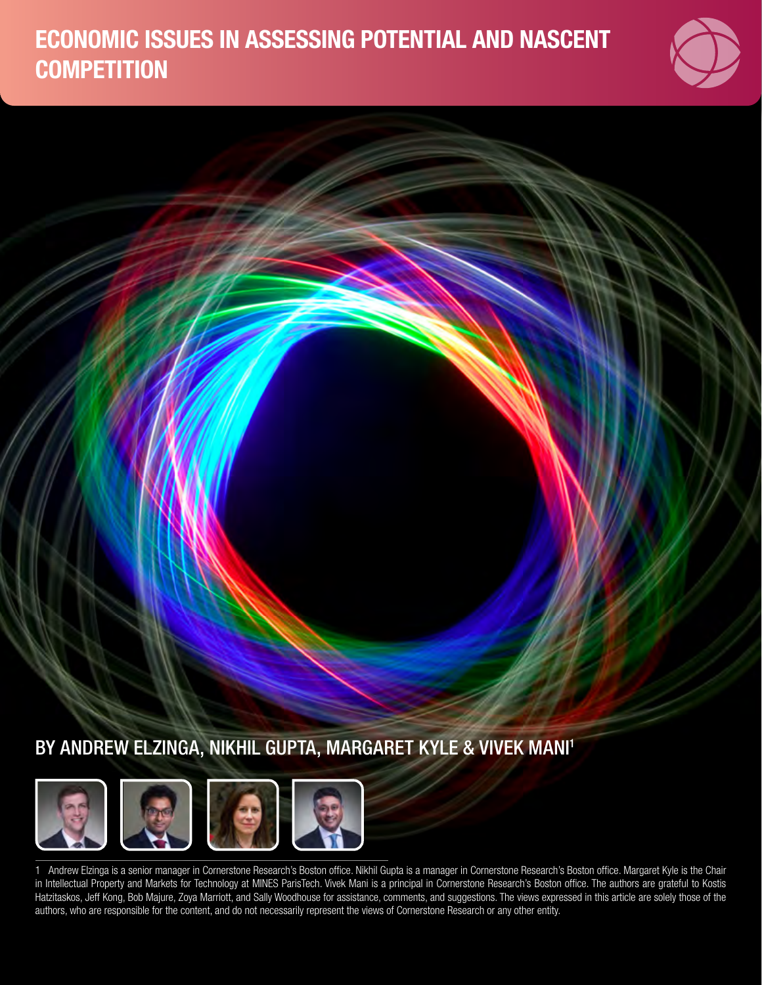# ECONOMIC ISSUES IN ASSESSING POTENTIAL AND NASCENT **COMPETITION**



## BY ANDREW ELZINGA, NIKHIL GUPTA, MARGARET KYLE & VIVEK MANI1



1 Andrew Elzinga is a senior manager in Cornerstone Research's Boston office. Nikhil Gupta is a manager in Cornerstone Research's Boston office. Margaret Kyle is the Chair in Intellectual Property and Markets for Technology at MINES ParisTech. Vivek Mani is a principal in Cornerstone Research's Boston office. The authors are grateful to Kostis Hatzitaskos, Jeff Kong, Bob Majure, Zoya Marriott, and Sally Woodhouse for assistance, comments, and suggestions. The views expressed in this article are solely those of the authors, who are responsible for the content, and do not necessarily represent the views of Cornerstone Research or any other entity.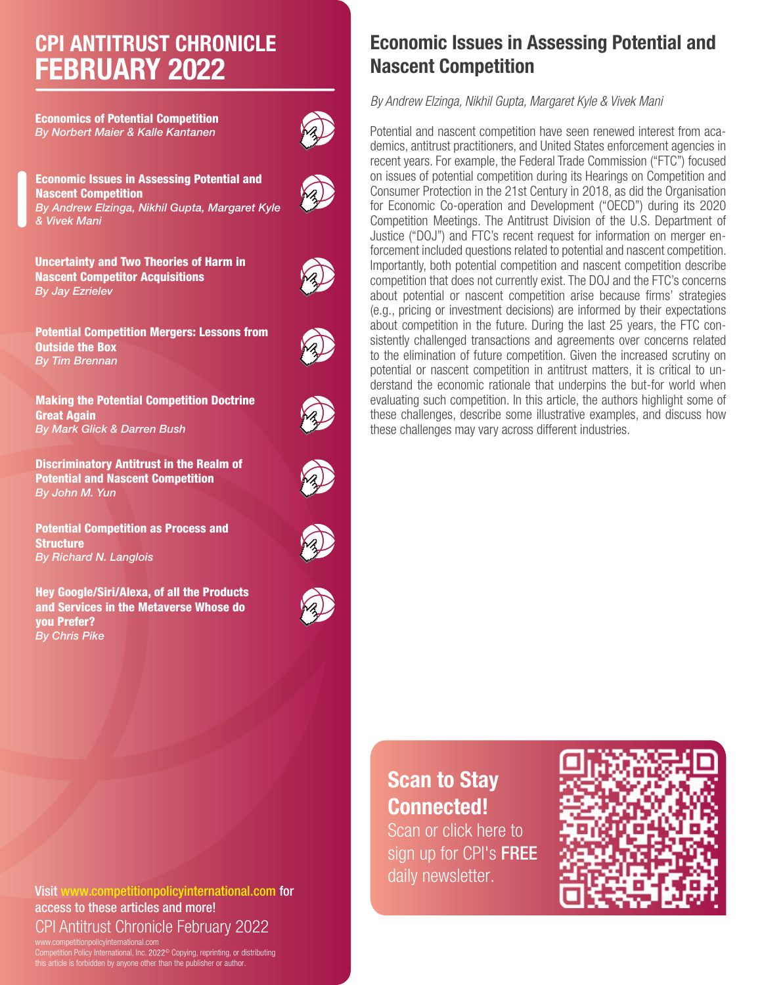# CPI ANTITRUST CHRONICLE FEBRUARY 2022

Economics of Potential Competition *By Norbert Maier & Kalle Kantanen*



Economic Issues in Assessing Potential and Nascent Competition *By Andrew Elzinga, Nikhil Gupta, Margaret Kyle & Vivek Mani*

Uncertainty and Two Theories of Harm in Nascent Competitor Acquisitions *By Jay Ezrielev*



Potential Competition Mergers: Lessons from Outside the Box *By Tim Brennan*



Discriminatory Antitrust in the Realm of Potential and Nascent Competition *By John M. Yun*

Potential Competition as Process and **Structure** *By Richard N. Langlois*

Hey Google/Siri/Alexa, of all the Products and Services in the Metaverse Whose do you Prefer? *By Chris Pike*





about potential or nascent competition arise because firms' strategies (e.g., pricing or investment decisions) are informed by their expectations about competition in the future. During the last 25 years, the FTC consistently challenged transactions and agreements over concerns related to the elimination of future competition. Given the increased scrutiny on potential or nascent competition in antitrust matters, it is critical to understand the economic rationale that underpins the but-for world when evaluating such competition. In this article, the authors highlight some of these challenges, describe some illustrative examples, and discuss how

# Scan to Stay Connected!

Scan or click here to sign up for CPI's FREE daily newsletter.



Visit www.competitionpolicyinternational.com for access to these articles and more! CPI Antitrust Chronicle February 2022

www.competitionpolicyinternational.com Competition Policy International, Inc. 2022<sup>©</sup> Copying, reprinting, or distributing this article is forbidden by anyone other than the publisher or author.

## Economic Issues in Assessing Potential and Nascent Competition

*By Andrew Elzinga, Nikhil Gupta, Margaret Kyle & Vivek Mani*

Potential and nascent competition have seen renewed interest from academics, antitrust practitioners, and United States enforcement agencies in recent years. For example, the Federal Trade Commission ("FTC") focused on issues of potential competition during its Hearings on Competition and Consumer Protection in the 21st Century in 2018, as did the Organisation for Economic Co-operation and Development ("OECD") during its 2020 Competition Meetings. The Antitrust Division of the U.S. Department of Justice ("DOJ") and FTC's recent request for information on merger enforcement included questions related to potential and nascent competition. Importantly, both potential competition and nascent competition describe competition that does not currently exist. The DOJ and the FTC's concerns these challenges may vary across different industries.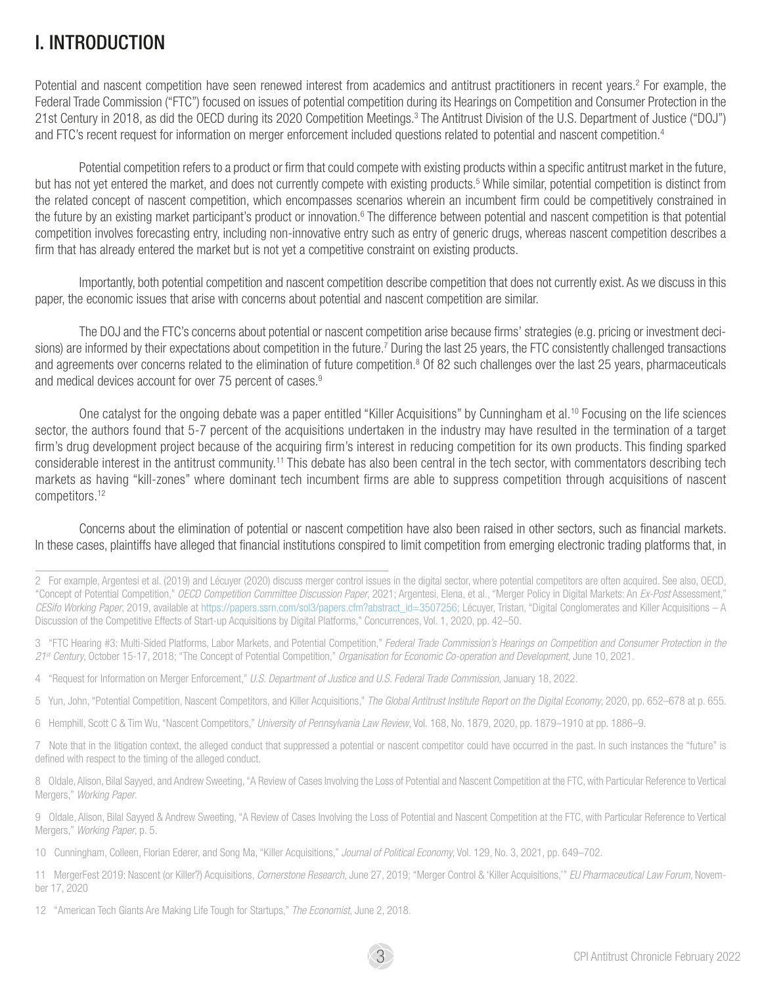## I. INTRODUCTION

Potential and nascent competition have seen renewed interest from academics and antitrust practitioners in recent years.<sup>2</sup> For example, the Federal Trade Commission ("FTC") focused on issues of potential competition during its Hearings on Competition and Consumer Protection in the 21st Century in 2018, as did the OECD during its 2020 Competition Meetings.<sup>3</sup> The Antitrust Division of the U.S. Department of Justice ("DOJ") and FTC's recent request for information on merger enforcement included questions related to potential and nascent competition.4

Potential competition refers to a product or firm that could compete with existing products within a specific antitrust market in the future, but has not yet entered the market, and does not currently compete with existing products.<sup>5</sup> While similar, potential competition is distinct from the related concept of nascent competition, which encompasses scenarios wherein an incumbent firm could be competitively constrained in the future by an existing market participant's product or innovation.<sup>6</sup> The difference between potential and nascent competition is that potential competition involves forecasting entry, including non-innovative entry such as entry of generic drugs, whereas nascent competition describes a firm that has already entered the market but is not yet a competitive constraint on existing products.

Importantly, both potential competition and nascent competition describe competition that does not currently exist. As we discuss in this paper, the economic issues that arise with concerns about potential and nascent competition are similar.

The DOJ and the FTC's concerns about potential or nascent competition arise because firms' strategies (e.g. pricing or investment decisions) are informed by their expectations about competition in the future.<sup>7</sup> During the last 25 years, the FTC consistently challenged transactions and agreements over concerns related to the elimination of future competition.<sup>8</sup> Of 82 such challenges over the last 25 years, pharmaceuticals and medical devices account for over 75 percent of cases.<sup>9</sup>

One catalyst for the ongoing debate was a paper entitled "Killer Acquisitions" by Cunningham et al.<sup>10</sup> Focusing on the life sciences sector, the authors found that 5-7 percent of the acquisitions undertaken in the industry may have resulted in the termination of a target firm's drug development project because of the acquiring firm's interest in reducing competition for its own products. This finding sparked considerable interest in the antitrust community.<sup>11</sup> This debate has also been central in the tech sector, with commentators describing tech markets as having "kill-zones" where dominant tech incumbent firms are able to suppress competition through acquisitions of nascent competitors.12

Concerns about the elimination of potential or nascent competition have also been raised in other sectors, such as financial markets. In these cases, plaintiffs have alleged that financial institutions conspired to limit competition from emerging electronic trading platforms that, in

- 6 Hemphill, Scott C & Tim Wu, "Nascent Competitors," *University of Pennsylvania Law Review*, Vol. 168, No. 1879, 2020, pp. 1879–1910 at pp. 1886–9.
- 7 Note that in the litigation context, the alleged conduct that suppressed a potential or nascent competitor could have occurred in the past. In such instances the "future" is defined with respect to the timing of the alleged conduct.

8 Oldale, Alison, Bilal Sayyed, and Andrew Sweeting, "A Review of Cases Involving the Loss of Potential and Nascent Competition at the FTC, with Particular Reference to Vertical Mergers," *Working Paper*.

9 Oldale, Alison, Bilal Sayyed & Andrew Sweeting, "A Review of Cases Involving the Loss of Potential and Nascent Competition at the FTC, with Particular Reference to Vertical Mergers," *Working Paper*, p. 5.

10 Cunningham, Colleen, Florian Ederer, and Song Ma, "Killer Acquisitions," *Journal of Political Economy*, Vol. 129, No. 3, 2021, pp. 649–702.

11 MergerFest 2019: Nascent (or Killer?) Acquisitions, *Cornerstone Research*, June 27, 2019; "Merger Control & 'Killer Acquisitions,'" *EU Pharmaceutical Law Forum*, November 17, 2020

<sup>2</sup> For example, Argentesi et al. (2019) and Lécuyer (2020) discuss merger control issues in the digital sector, where potential competitors are often acquired. See also, OECD, "Concept of Potential Competition," *OECD Competition Committee Discussion Paper*, 2021; Argentesi, Elena, et al., "Merger Policy in Digital Markets: An *Ex-Post* Assessment," *CESifo Working Paper*, 2019, available at [https://papers.ssrn.com/sol3/papers.cfm?abstract\\_id=3507256](https://papers.ssrn.com/sol3/papers.cfm?abstract_id=3507256); Lécuyer, Tristan, "Digital Conglomerates and Killer Acquisitions – A Discussion of the Competitive Effects of Start-up Acquisitions by Digital Platforms," Concurrences, Vol. 1, 2020, pp. 42–50.

<sup>3 &</sup>quot;FTC Hearing #3: Multi-Sided Platforms, Labor Markets, and Potential Competition," *Federal Trade Commission's Hearings on Competition and Consumer Protection in the 21st Century*, October 15-17, 2018; "The Concept of Potential Competition," *Organisation for Economic Co-operation and Development*, June 10, 2021.

<sup>4 &</sup>quot;Request for Information on Merger Enforcement," *U.S. Department of Justice and U.S. Federal Trade Commission*, January 18, 2022.

<sup>5</sup> Yun, John, "Potential Competition, Nascent Competitors, and Killer Acquisitions," *The Global Antitrust Institute Report on the Digital Economy*, 2020, pp. 652–678 at p. 655.

<sup>12 &</sup>quot;American Tech Giants Are Making Life Tough for Startups," *The Economist*, June 2, 2018.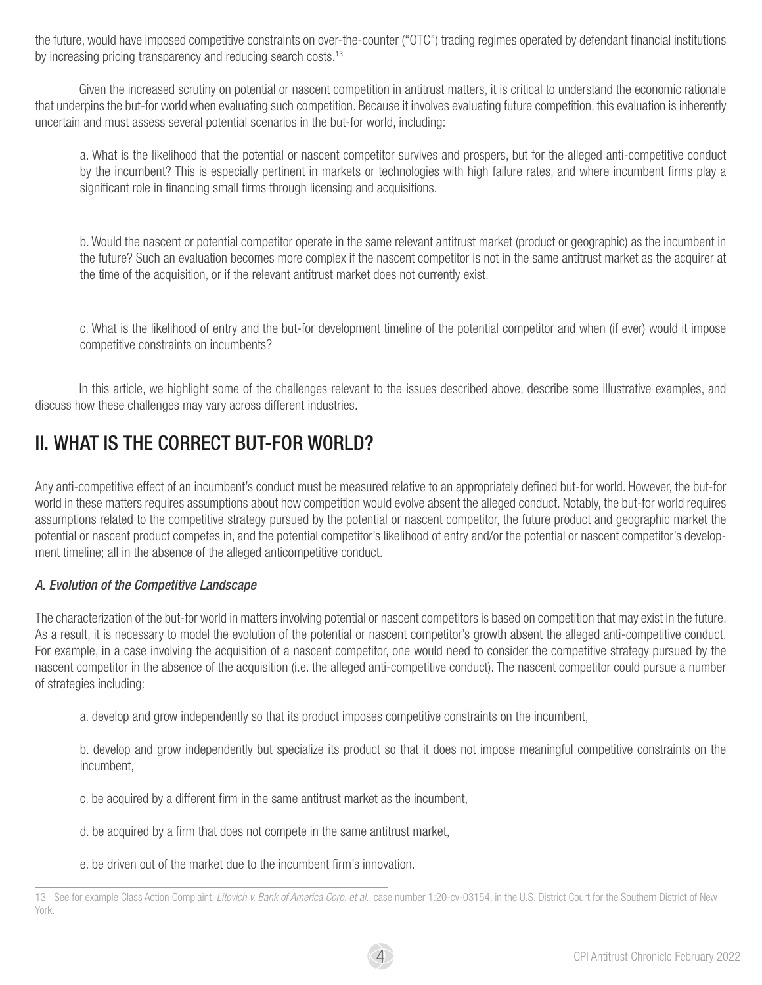the future, would have imposed competitive constraints on over-the-counter ("OTC") trading regimes operated by defendant financial institutions by increasing pricing transparency and reducing search costs.<sup>13</sup>

Given the increased scrutiny on potential or nascent competition in antitrust matters, it is critical to understand the economic rationale that underpins the but-for world when evaluating such competition. Because it involves evaluating future competition, this evaluation is inherently uncertain and must assess several potential scenarios in the but-for world, including:

a. What is the likelihood that the potential or nascent competitor survives and prospers, but for the alleged anti-competitive conduct by the incumbent? This is especially pertinent in markets or technologies with high failure rates, and where incumbent firms play a significant role in financing small firms through licensing and acquisitions.

b. Would the nascent or potential competitor operate in the same relevant antitrust market (product or geographic) as the incumbent in the future? Such an evaluation becomes more complex if the nascent competitor is not in the same antitrust market as the acquirer at the time of the acquisition, or if the relevant antitrust market does not currently exist.

c. What is the likelihood of entry and the but-for development timeline of the potential competitor and when (if ever) would it impose competitive constraints on incumbents?

In this article, we highlight some of the challenges relevant to the issues described above, describe some illustrative examples, and discuss how these challenges may vary across different industries.

## II. WHAT IS THE CORRECT BUT-FOR WORLD?

Any anti-competitive effect of an incumbent's conduct must be measured relative to an appropriately defined but-for world. However, the but-for world in these matters requires assumptions about how competition would evolve absent the alleged conduct. Notably, the but-for world requires assumptions related to the competitive strategy pursued by the potential or nascent competitor, the future product and geographic market the potential or nascent product competes in, and the potential competitor's likelihood of entry and/or the potential or nascent competitor's development timeline; all in the absence of the alleged anticompetitive conduct.

#### *A. Evolution of the Competitive Landscape*

The characterization of the but-for world in matters involving potential or nascent competitors is based on competition that may exist in the future. As a result, it is necessary to model the evolution of the potential or nascent competitor's growth absent the alleged anti-competitive conduct. For example, in a case involving the acquisition of a nascent competitor, one would need to consider the competitive strategy pursued by the nascent competitor in the absence of the acquisition (i.e. the alleged anti-competitive conduct). The nascent competitor could pursue a number of strategies including:

a. develop and grow independently so that its product imposes competitive constraints on the incumbent,

b. develop and grow independently but specialize its product so that it does not impose meaningful competitive constraints on the incumbent,

- c. be acquired by a different firm in the same antitrust market as the incumbent,
- d. be acquired by a firm that does not compete in the same antitrust market,
- e. be driven out of the market due to the incumbent firm's innovation.



<sup>13</sup> See for example Class Action Complaint, *Litovich v. Bank of America Corp. et al*., case number 1:20-cv-03154, in the U.S. District Court for the Southern District of New York.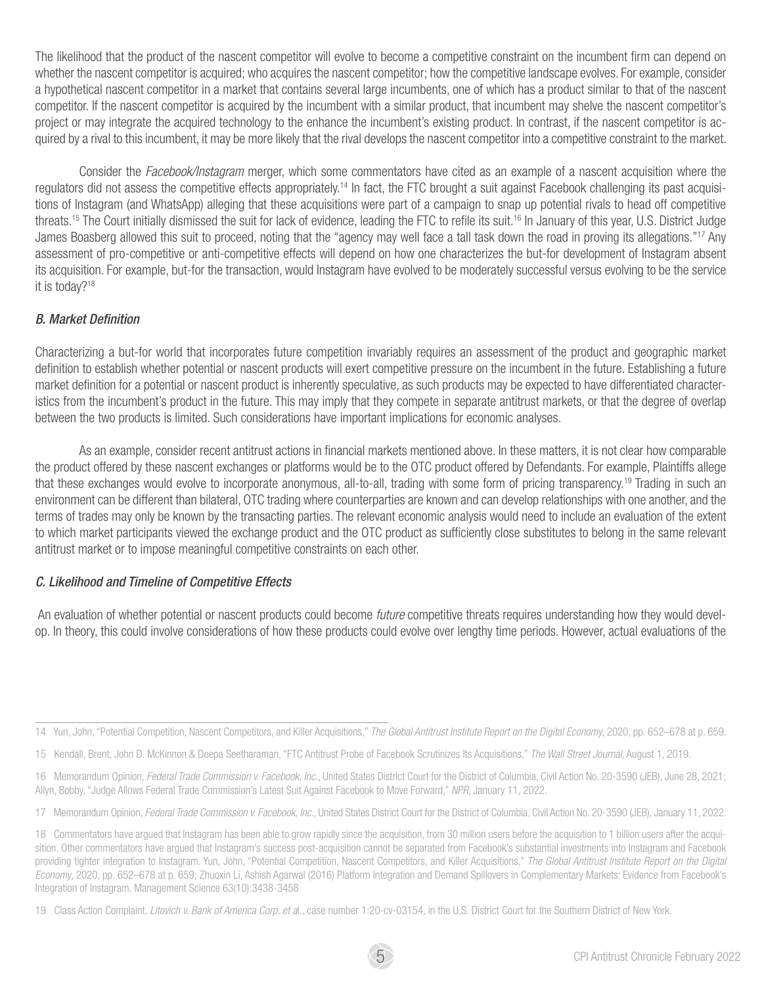The likelihood that the product of the nascent competitor will evolve to become a competitive constraint on the incumbent firm can depend on whether the nascent competitor is acquired; who acquires the nascent competitor; how the competitive landscape evolves. For example, consider a hypothetical nascent competitor in a market that contains several large incumbents, one of which has a product similar to that of the nascent competitor. If the nascent competitor is acquired by the incumbent with a similar product, that incumbent may shelve the nascent competitor's project or may integrate the acquired technology to the enhance the incumbent's existing product. In contrast, if the nascent competitor is acquired by a rival to this incumbent, it may be more likely that the rival develops the nascent competitor into a competitive constraint to the market.

Consider the *Facebook/Instagram* merger, which some commentators have cited as an example of a nascent acquisition where the regulators did not assess the competitive effects appropriately.14 In fact, the FTC brought a suit against Facebook challenging its past acquisitions of Instagram (and WhatsApp) alleging that these acquisitions were part of a campaign to snap up potential rivals to head off competitive threats.15 The Court initially dismissed the suit for lack of evidence, leading the FTC to refile its suit.16 In January of this year, U.S. District Judge James Boasberg allowed this suit to proceed, noting that the "agency may well face a tall task down the road in proving its allegations."<sup>17</sup> Any assessment of pro-competitive or anti-competitive effects will depend on how one characterizes the but-for development of Instagram absent its acquisition. For example, but-for the transaction, would Instagram have evolved to be moderately successful versus evolving to be the service it is today?18

#### *B. Market Definition*

Characterizing a but-for world that incorporates future competition invariably requires an assessment of the product and geographic market definition to establish whether potential or nascent products will exert competitive pressure on the incumbent in the future. Establishing a future market definition for a potential or nascent product is inherently speculative, as such products may be expected to have differentiated characteristics from the incumbent's product in the future. This may imply that they compete in separate antitrust markets, or that the degree of overlap between the two products is limited. Such considerations have important implications for economic analyses.

As an example, consider recent antitrust actions in financial markets mentioned above. In these matters, it is not clear how comparable the product offered by these nascent exchanges or platforms would be to the OTC product offered by Defendants. For example, Plaintiffs allege that these exchanges would evolve to incorporate anonymous, all-to-all, trading with some form of pricing transparency.19 Trading in such an environment can be different than bilateral, OTC trading where counterparties are known and can develop relationships with one another, and the terms of trades may only be known by the transacting parties. The relevant economic analysis would need to include an evaluation of the extent to which market participants viewed the exchange product and the OTC product as sufficiently close substitutes to belong in the same relevant antitrust market or to impose meaningful competitive constraints on each other.

#### *C. Likelihood and Timeline of Competitive Effects*

 An evaluation of whether potential or nascent products could become *future* competitive threats requires understanding how they would develop. In theory, this could involve considerations of how these products could evolve over lengthy time periods. However, actual evaluations of the

<sup>14</sup> Yun, John, "Potential Competition, Nascent Competitors, and Killer Acquisitions," *The Global Antitrust Institute Report on the Digital Economy*, 2020, pp. 652–678 at p. 659.

<sup>15</sup> Kendall, Brent, John D. McKinnon & Deepa Seetharaman, "FTC Antitrust Probe of Facebook Scrutinizes Its Acquisitions," *The Wall Street Journal*, August 1, 2019.

<sup>16</sup> Memorandum Opinion, *Federal Trade Commission v. Facebook, Inc*., United States District Court for the District of Columbia, Civil Action No. 20-3590 (JEB), June 28, 2021; Allyn, Bobby, "Judge Allows Federal Trade Commission's Latest Suit Against Facebook to Move Forward," *NPR*, January 11, 2022.

<sup>17</sup> Memorandum Opinion, *Federal Trade Commission v. Facebook, Inc*., United States District Court for the District of Columbia, Civil Action No. 20-3590 (JEB), January 11, 2022.

<sup>18</sup> Commentators have argued that Instagram has been able to grow rapidly since the acquisition, from 30 million users before the acquisition to 1 billion users after the acquisition. Other commentators have arqued that Instagram's success post-acquisition cannot be separated from Facebook's substantial investments into Instagram and Facebook providing tighter integration to Instagram. Yun, John, "Potential Competition, Nascent Competitors, and Killer Acquisitions," The Global Antitrust Institute Report on the Digital *Economy*, 2020, pp. 652–678 at p. 659; Zhuoxin Li, Ashish Agarwal (2016) Platform Integration and Demand Spillovers in Complementary Markets: Evidence from Facebook's Integration of Instagram. Management Science 63(10):3438-3458

<sup>19</sup> Class Action Complaint, *Litovich v. Bank of America Corp. et a*l., case number 1:20-cv-03154, in the U.S. District Court for the Southern District of New York.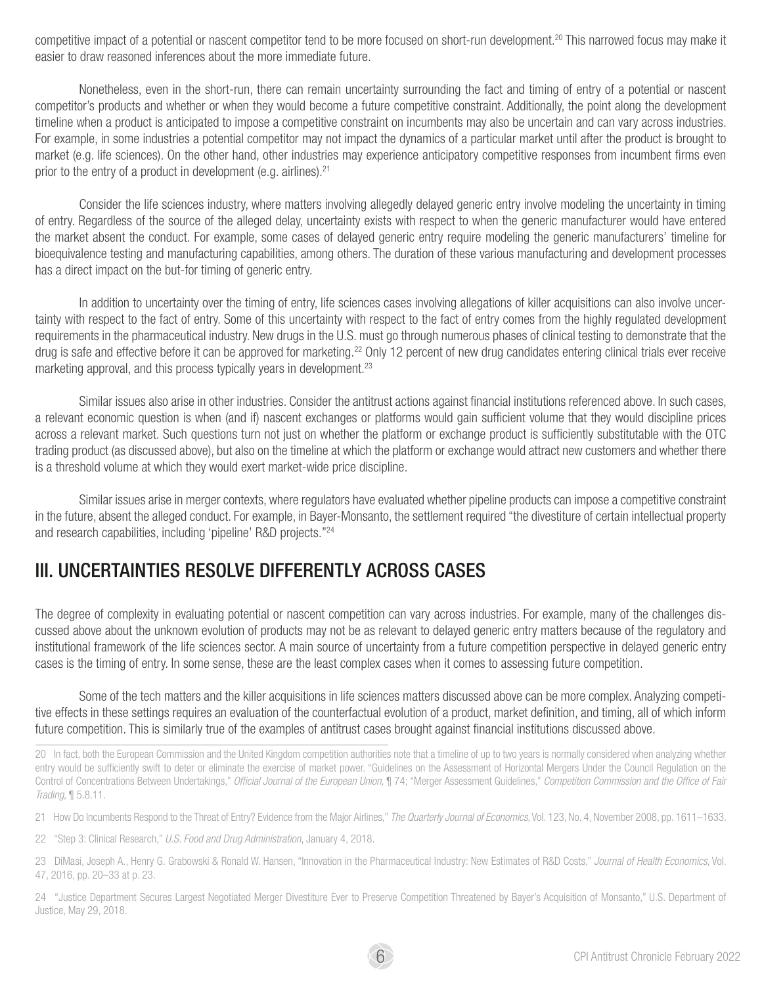competitive impact of a potential or nascent competitor tend to be more focused on short-run development.<sup>20</sup> This narrowed focus may make it easier to draw reasoned inferences about the more immediate future.

Nonetheless, even in the short-run, there can remain uncertainty surrounding the fact and timing of entry of a potential or nascent competitor's products and whether or when they would become a future competitive constraint. Additionally, the point along the development timeline when a product is anticipated to impose a competitive constraint on incumbents may also be uncertain and can vary across industries. For example, in some industries a potential competitor may not impact the dynamics of a particular market until after the product is brought to market (e.g. life sciences). On the other hand, other industries may experience anticipatory competitive responses from incumbent firms even prior to the entry of a product in development (e.g. airlines).  $21$ 

Consider the life sciences industry, where matters involving allegedly delayed generic entry involve modeling the uncertainty in timing of entry. Regardless of the source of the alleged delay, uncertainty exists with respect to when the generic manufacturer would have entered the market absent the conduct. For example, some cases of delayed generic entry require modeling the generic manufacturers' timeline for bioequivalence testing and manufacturing capabilities, among others. The duration of these various manufacturing and development processes has a direct impact on the but-for timing of generic entry.

In addition to uncertainty over the timing of entry, life sciences cases involving allegations of killer acquisitions can also involve uncertainty with respect to the fact of entry. Some of this uncertainty with respect to the fact of entry comes from the highly regulated development requirements in the pharmaceutical industry. New drugs in the U.S. must go through numerous phases of clinical testing to demonstrate that the drug is safe and effective before it can be approved for marketing.<sup>22</sup> Only 12 percent of new drug candidates entering clinical trials ever receive marketing approval, and this process typically years in development.<sup>23</sup>

Similar issues also arise in other industries. Consider the antitrust actions against financial institutions referenced above. In such cases, a relevant economic question is when (and if) nascent exchanges or platforms would gain sufficient volume that they would discipline prices across a relevant market. Such questions turn not just on whether the platform or exchange product is sufficiently substitutable with the OTC trading product (as discussed above), but also on the timeline at which the platform or exchange would attract new customers and whether there is a threshold volume at which they would exert market-wide price discipline.

Similar issues arise in merger contexts, where regulators have evaluated whether pipeline products can impose a competitive constraint in the future, absent the alleged conduct. For example, in Bayer-Monsanto, the settlement required "the divestiture of certain intellectual property and research capabilities, including 'pipeline' R&D projects."24

#### III. UNCERTAINTIES RESOLVE DIFFERENTLY ACROSS CASES

The degree of complexity in evaluating potential or nascent competition can vary across industries. For example, many of the challenges discussed above about the unknown evolution of products may not be as relevant to delayed generic entry matters because of the regulatory and institutional framework of the life sciences sector. A main source of uncertainty from a future competition perspective in delayed generic entry cases is the timing of entry. In some sense, these are the least complex cases when it comes to assessing future competition.

Some of the tech matters and the killer acquisitions in life sciences matters discussed above can be more complex. Analyzing competitive effects in these settings requires an evaluation of the counterfactual evolution of a product, market definition, and timing, all of which inform future competition. This is similarly true of the examples of antitrust cases brought against financial institutions discussed above.

- 21 How Do Incumbents Respond to the Threat of Entry? Evidence from the Major Airlines," *The Quarterly Journal of Economics*, Vol. 123, No. 4, November 2008, pp. 1611–1633.
- 22 "Step 3: Clinical Research," *U.S. Food and Drug Administration*, January 4, 2018.

23 DiMasi, Joseph A., Henry G. Grabowski & Ronald W. Hansen, "Innovation in the Pharmaceutical Industry: New Estimates of R&D Costs," *Journal of Health Economics*, Vol. 47, 2016, pp. 20–33 at p. 23.

24 "Justice Department Secures Largest Negotiated Merger Divestiture Ever to Preserve Competition Threatened by Bayer's Acquisition of Monsanto," U.S. Department of Justice, May 29, 2018.

<sup>20</sup> In fact, both the European Commission and the United Kingdom competition authorities note that a timeline of up to two years is normally considered when analyzing whether entry would be sufficiently swift to deter or eliminate the exercise of market power. "Guidelines on the Assessment of Horizontal Mergers Under the Council Regulation on the Control of Concentrations Between Undertakings," *Official Journal of the European Union*, ¶ 74; "Merger Assessment Guidelines," *Competition Commission and the Office of Fair Trading*, ¶ 5.8.11.